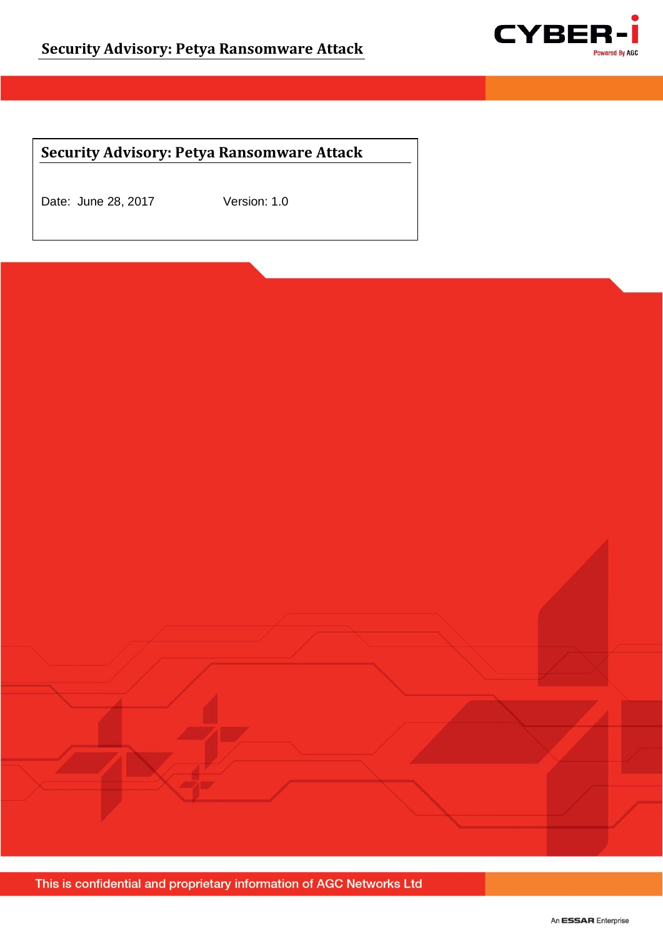

## **Security Advisory: Petya Ransomware Attack**

Date: June 28, 2017 Version: 1.0

Page **1** of **4** This is connuented and proprietary information of AGC Networks Eta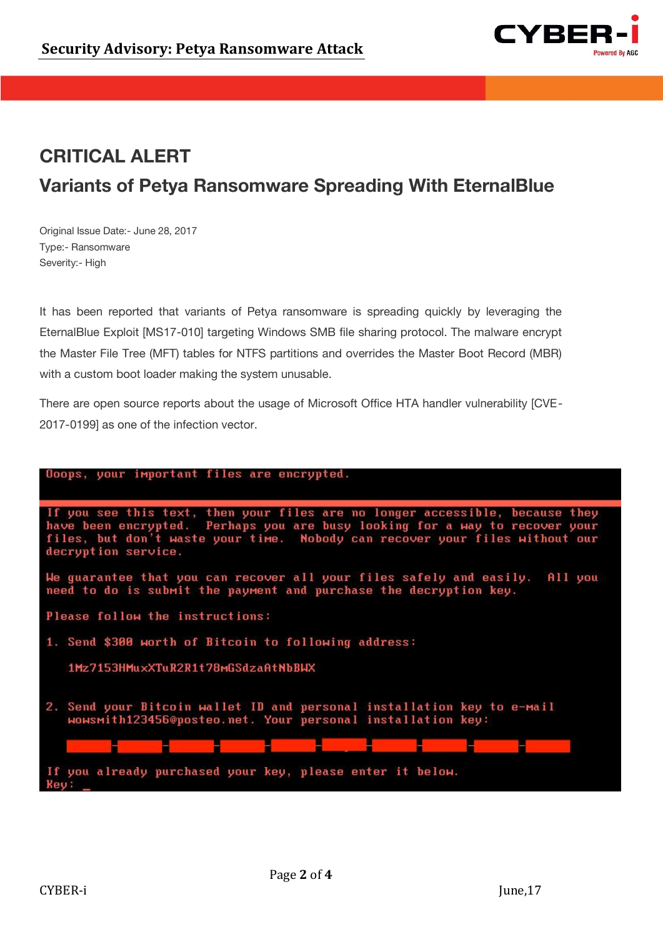

## **CRITICAL ALERT Variants of Petya Ransomware Spreading With EternalBlue Variants of Petya Ransomware Spreading With EternalBlue**

Original Issue Date:- June 28, 2017 Type:- Ransomware Severity:- High

It has been reported that variants of Petya ransomware is spreading quickly by leveraging the EternalBlue Exploit [MS17-010] targeting Windows SMB file sharing protocol. The malware encrypt the Master File Tree (MFT) tables for NTFS partitions and overrides the Master Boot Record (MBR) with a custom boot loader making the system unusable.

There are open source reports about the usage of Microsoft Office HTA handler vulnerability [CVE-2017-0199] as one of the infection vector.

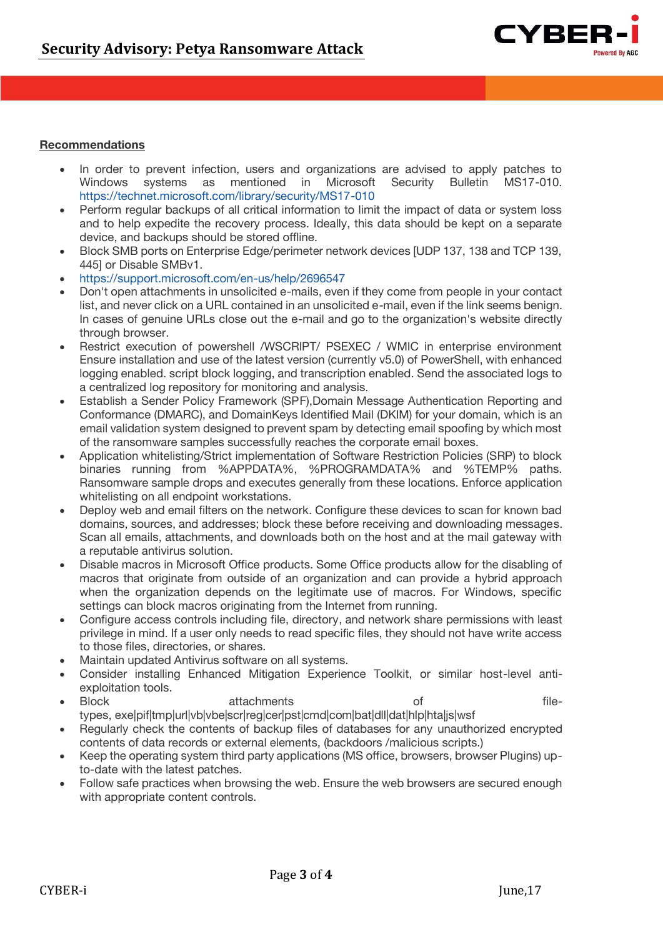

## **Recommendations**

- In order to prevent infection, users and organizations are advised to apply patches to Windows systems as mentioned in Microsoft Security Bulletin MS17-010. <https://technet.microsoft.com/library/security/MS17-010>
- Perform regular backups of all critical information to limit the impact of data or system loss and to help expedite the recovery process. Ideally, this data should be kept on a separate device, and backups should be stored offline.
- Block SMB ports on Enterprise Edge/perimeter network devices [UDP 137, 138 and TCP 139, 445] or Disable SMBv1.
- <https://support.microsoft.com/en-us/help/2696547>
- Don't open attachments in unsolicited e-mails, even if they come from people in your contact list, and never click on a URL contained in an unsolicited e-mail, even if the link seems benign. In cases of genuine URLs close out the e-mail and go to the organization's website directly through browser.
- Restrict execution of powershell /WSCRIPT/ PSEXEC / WMIC in enterprise environment Ensure installation and use of the latest version (currently v5.0) of PowerShell, with enhanced logging enabled. script block logging, and transcription enabled. Send the associated logs to a centralized log repository for monitoring and analysis.
- Establish a Sender Policy Framework (SPF),Domain Message Authentication Reporting and Conformance (DMARC), and DomainKeys Identified Mail (DKIM) for your domain, which is an email validation system designed to prevent spam by detecting email spoofing by which most of the ransomware samples successfully reaches the corporate email boxes.
- Application whitelisting/Strict implementation of Software Restriction Policies (SRP) to block binaries running from %APPDATA%, %PROGRAMDATA% and %TEMP% paths. Ransomware sample drops and executes generally from these locations. Enforce application whitelisting on all endpoint workstations.
- Deploy web and email filters on the network. Configure these devices to scan for known bad domains, sources, and addresses; block these before receiving and downloading messages. Scan all emails, attachments, and downloads both on the host and at the mail gateway with a reputable antivirus solution.
- Disable macros in Microsoft Office products. Some Office products allow for the disabling of macros that originate from outside of an organization and can provide a hybrid approach when the organization depends on the legitimate use of macros. For Windows, specific settings can block macros originating from the Internet from running.
- Configure access controls including file, directory, and network share permissions with least privilege in mind. If a user only needs to read specific files, they should not have write access to those files, directories, or shares.
- Maintain updated Antivirus software on all systems.
- Consider installing Enhanced Mitigation Experience Toolkit, or similar host-level antiexploitation tools.<br>Block
- Block **attachments** of filetypes, exe|pif|tmp|url|vb|vbe|scr|reg|cer|pst|cmd|com|bat|dll|dat|hlp|hta|js|wsf
- Regularly check the contents of backup files of databases for any unauthorized encrypted contents of data records or external elements, (backdoors /malicious scripts.)
- Keep the operating system third party applications (MS office, browsers, browser Plugins) upto-date with the latest patches.
- Follow safe practices when browsing the web. Ensure the web browsers are secured enough with appropriate content controls.